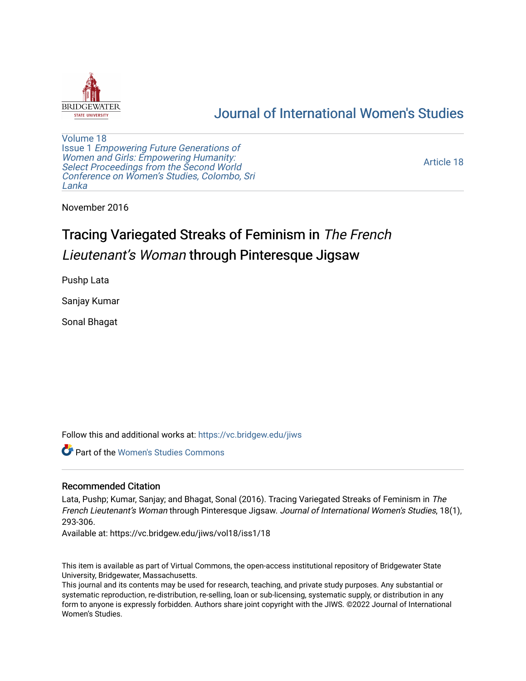

# [Journal of International Women's Studies](https://vc.bridgew.edu/jiws)

[Volume 18](https://vc.bridgew.edu/jiws/vol18) Issue 1 [Empowering Future Generations of](https://vc.bridgew.edu/jiws/vol18/iss1) [Women and Girls: Empowering Humanity:](https://vc.bridgew.edu/jiws/vol18/iss1) [Select Proceedings from the Second World](https://vc.bridgew.edu/jiws/vol18/iss1)  [Conference on Women's Studies, Colombo, Sri](https://vc.bridgew.edu/jiws/vol18/iss1)  [Lanka](https://vc.bridgew.edu/jiws/vol18/iss1) 

[Article 18](https://vc.bridgew.edu/jiws/vol18/iss1/18) 

November 2016

# Tracing Variegated Streaks of Feminism in The French Lieutenant's Woman through Pinteresque Jigsaw

Pushp Lata

Sanjay Kumar

Sonal Bhagat

Follow this and additional works at: [https://vc.bridgew.edu/jiws](https://vc.bridgew.edu/jiws?utm_source=vc.bridgew.edu%2Fjiws%2Fvol18%2Fiss1%2F18&utm_medium=PDF&utm_campaign=PDFCoverPages)

Part of the [Women's Studies Commons](http://network.bepress.com/hgg/discipline/561?utm_source=vc.bridgew.edu%2Fjiws%2Fvol18%2Fiss1%2F18&utm_medium=PDF&utm_campaign=PDFCoverPages) 

#### Recommended Citation

Lata, Pushp; Kumar, Sanjay; and Bhagat, Sonal (2016). Tracing Variegated Streaks of Feminism in The French Lieutenant's Woman through Pinteresque Jigsaw. Journal of International Women's Studies, 18(1), 293-306.

Available at: https://vc.bridgew.edu/jiws/vol18/iss1/18

This item is available as part of Virtual Commons, the open-access institutional repository of Bridgewater State University, Bridgewater, Massachusetts.

This journal and its contents may be used for research, teaching, and private study purposes. Any substantial or systematic reproduction, re-distribution, re-selling, loan or sub-licensing, systematic supply, or distribution in any form to anyone is expressly forbidden. Authors share joint copyright with the JIWS. ©2022 Journal of International Women's Studies.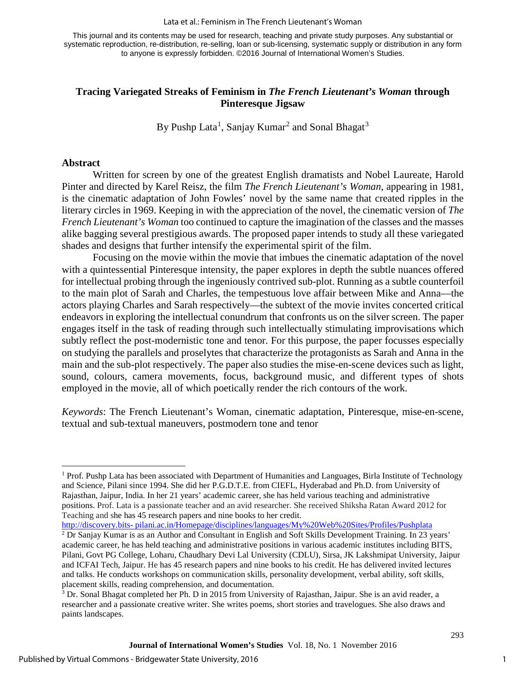This journal and its contents may be used for research, teaching and private study purposes. Any substantial or systematic reproduction, re-distribution, re-selling, loan or sub-licensing, systematic supply or distribution in any form to anyone is expressly forbidden. ©2016 Journal of International Women's Studies.

## **Tracing Variegated Streaks of Feminism in** *The French Lieutenant's Woman* **through Pinteresque Jigsaw**

By Pushp Lata<sup>[1](#page-1-0)</sup>, Sanjay Kumar<sup>[2](#page-1-1)</sup> and Sonal Bhagat<sup>[3](#page-1-2)</sup>

#### **Abstract**

Written for screen by one of the greatest English dramatists and Nobel Laureate, Harold Pinter and directed by Karel Reisz, the film *The French Lieutenant's Woman*, appearing in 1981, is the cinematic adaptation of John Fowles' novel by the same name that created ripples in the literary circles in 1969. Keeping in with the appreciation of the novel, the cinematic version of *The French Lieutenant's Woman* too continued to capture the imagination of the classes and the masses alike bagging several prestigious awards. The proposed paper intends to study all these variegated shades and designs that further intensify the experimental spirit of the film.

Focusing on the movie within the movie that imbues the cinematic adaptation of the novel with a quintessential Pinteresque intensity, the paper explores in depth the subtle nuances offered for intellectual probing through the ingeniously contrived sub-plot. Running as a subtle counterfoil to the main plot of Sarah and Charles, the tempestuous love affair between Mike and Anna—the actors playing Charles and Sarah respectively—the subtext of the movie invites concerted critical endeavors in exploring the intellectual conundrum that confronts us on the silver screen. The paper engages itself in the task of reading through such intellectually stimulating improvisations which subtly reflect the post-modernistic tone and tenor. For this purpose, the paper focusses especially on studying the parallels and proselytes that characterize the protagonists as Sarah and Anna in the main and the sub-plot respectively. The paper also studies the mise-en-scene devices such as light, sound, colours, camera movements, focus, background music, and different types of shots employed in the movie, all of which poetically render the rich contours of the work.

*Keywords*: The French Lieutenant's Woman, cinematic adaptation, Pinteresque, mise-en-scene, textual and sub-textual maneuvers, postmodern tone and tenor

<span id="page-1-1"></span>http://discovery.bits- pilani.ac.in/Homepage/disciplines/languages/My%20Web%20Sites/Profiles/Pushplata <sup>2</sup> Dr Sanjay Kumar is as an Author and Consultant in English and Soft Skills Development Training. In 23 years' academic career, he has held teaching and administrative positions in various academic institutes including BITS, Pilani, Govt PG College, Loharu, Chaudhary Devi Lal University (CDLU), Sirsa, JK Lakshmipat University, Jaipur and ICFAI Tech, Jaipur. He has 45 research papers and nine books to his credit. He has delivered invited lectures and talks. He conducts workshops on communication skills, personality development, verbal ability, soft skills, placement skills, reading comprehension, and documentation.

<span id="page-1-0"></span> $\overline{\phantom{a}}$  $1$  Prof. Pushp Lata has been associated with Department of Humanities and Languages, Birla Institute of Technology and Science, Pilani since 1994. She did her P.G.D.T.E. from CIEFL, Hyderabad and Ph.D. from University of Rajasthan, Jaipur, India. In her 21 years' academic career, she has held various teaching and administrative positions. Prof. Lata is a passionate teacher and an avid researcher. She received Shiksha Ratan Award 2012 for Teaching and she has 45 research papers and nine books to her credit.

<span id="page-1-2"></span><sup>&</sup>lt;sup>3</sup> Dr. Sonal Bhagat completed her Ph. D in 2015 from University of Rajasthan, Jaipur. She is an avid reader, a researcher and a passionate creative writer. She writes poems, short stories and travelogues. She also draws and paints landscapes.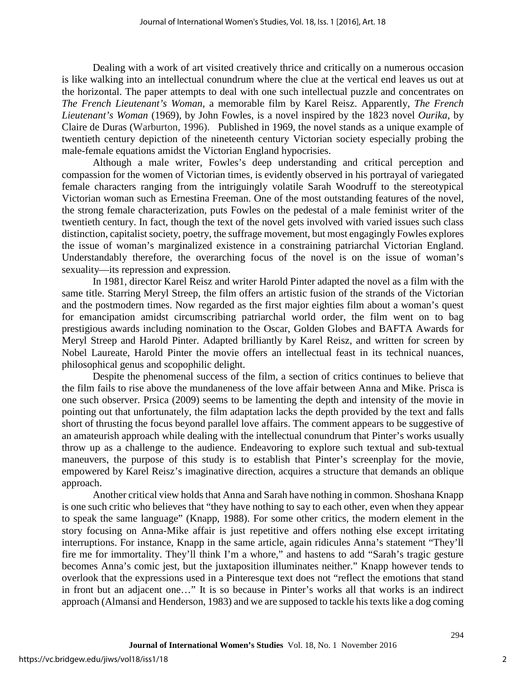Dealing with a work of art visited creatively thrice and critically on a numerous occasion is like walking into an intellectual conundrum where the clue at the vertical end leaves us out at the horizontal. The paper attempts to deal with one such intellectual puzzle and concentrates on *The French Lieutenant's Woman*, a memorable film by Karel Reisz. Apparently, *The French Lieutenant's Woman* (1969), by John Fowles, is a novel inspired by the 1823 novel *Ourika*, by Claire de Duras (Warburton, 1996). Published in 1969, the novel stands as a unique example of twentieth century depiction of the nineteenth century Victorian society especially probing the male-female equations amidst the Victorian England hypocrisies.

Although a male writer, Fowles's deep understanding and critical perception and compassion for the women of Victorian times, is evidently observed in his portrayal of variegated female characters ranging from the intriguingly volatile Sarah Woodruff to the stereotypical Victorian woman such as Ernestina Freeman. One of the most outstanding features of the novel, the strong female characterization, puts Fowles on the pedestal of a male feminist writer of the twentieth century. In fact, though the text of the novel gets involved with varied issues such class distinction, capitalist society, poetry, the suffrage movement, but most engagingly Fowles explores the issue of woman's marginalized existence in a constraining patriarchal Victorian England. Understandably therefore, the overarching focus of the novel is on the issue of woman's sexuality—its repression and expression.

In 1981, director Karel Reisz and writer Harold Pinter adapted the novel as a film with the same title. Starring Meryl Streep, the film offers an artistic fusion of the strands of the Victorian and the postmodern times. Now regarded as the first major eighties film about a woman's quest for emancipation amidst circumscribing patriarchal world order, the film went on to bag prestigious awards including nomination to the Oscar, Golden Globes and BAFTA Awards for Meryl Streep and Harold Pinter. Adapted brilliantly by Karel Reisz, and written for screen by Nobel Laureate, Harold Pinter the movie offers an intellectual feast in its technical nuances, philosophical genus and scopophilic delight.

Despite the phenomenal success of the film, a section of critics continues to believe that the film fails to rise above the mundaneness of the love affair between Anna and Mike. Prisca is one such observer. Prsica (2009) seems to be lamenting the depth and intensity of the movie in pointing out that unfortunately, the film adaptation lacks the depth provided by the text and falls short of thrusting the focus beyond parallel love affairs. The comment appears to be suggestive of an amateurish approach while dealing with the intellectual conundrum that Pinter's works usually throw up as a challenge to the audience. Endeavoring to explore such textual and sub-textual maneuvers, the purpose of this study is to establish that Pinter's screenplay for the movie, empowered by Karel Reisz's imaginative direction, acquires a structure that demands an oblique approach.

Another critical view holds that Anna and Sarah have nothing in common. Shoshana Knapp is one such critic who believes that "they have nothing to say to each other, even when they appear to speak the same language" (Knapp, 1988). For some other critics, the modern element in the story focusing on Anna-Mike affair is just repetitive and offers nothing else except irritating interruptions. For instance, Knapp in the same article, again ridicules Anna's statement "They'll fire me for immortality. They'll think I'm a whore," and hastens to add "Sarah's tragic gesture becomes Anna's comic jest, but the juxtaposition illuminates neither." Knapp however tends to overlook that the expressions used in a Pinteresque text does not "reflect the emotions that stand in front but an adjacent one…" It is so because in Pinter's works all that works is an indirect approach (Almansi and Henderson, 1983) and we are supposed to tackle his texts like a dog coming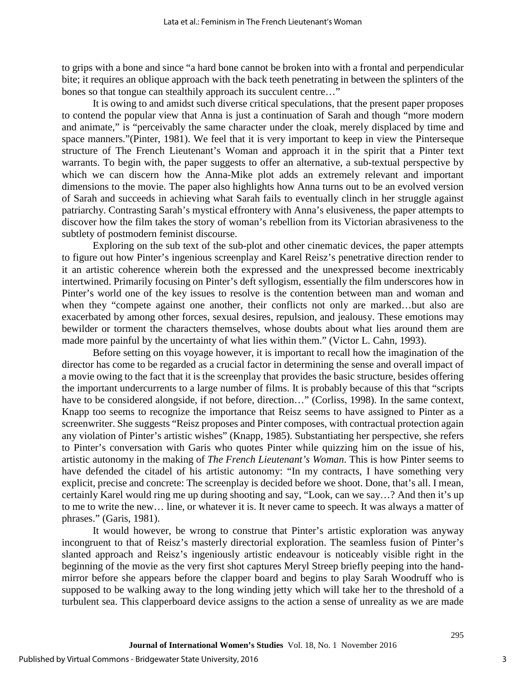to grips with a bone and since "a hard bone cannot be broken into with a frontal and perpendicular bite; it requires an oblique approach with the back teeth penetrating in between the splinters of the bones so that tongue can stealthily approach its succulent centre…"

It is owing to and amidst such diverse critical speculations, that the present paper proposes to contend the popular view that Anna is just a continuation of Sarah and though "more modern and animate," is "perceivably the same character under the cloak, merely displaced by time and space manners."(Pinter, 1981). We feel that it is very important to keep in view the Pinterseque structure of The French Lieutenant's Woman and approach it in the spirit that a Pinter text warrants. To begin with, the paper suggests to offer an alternative, a sub-textual perspective by which we can discern how the Anna-Mike plot adds an extremely relevant and important dimensions to the movie. The paper also highlights how Anna turns out to be an evolved version of Sarah and succeeds in achieving what Sarah fails to eventually clinch in her struggle against patriarchy. Contrasting Sarah's mystical effrontery with Anna's elusiveness, the paper attempts to discover how the film takes the story of woman's rebellion from its Victorian abrasiveness to the subtlety of postmodern feminist discourse.

Exploring on the sub text of the sub-plot and other cinematic devices, the paper attempts to figure out how Pinter's ingenious screenplay and Karel Reisz's penetrative direction render to it an artistic coherence wherein both the expressed and the unexpressed become inextricably intertwined. Primarily focusing on Pinter's deft syllogism, essentially the film underscores how in Pinter's world one of the key issues to resolve is the contention between man and woman and when they "compete against one another, their conflicts not only are marked...but also are exacerbated by among other forces, sexual desires, repulsion, and jealousy. These emotions may bewilder or torment the characters themselves, whose doubts about what lies around them are made more painful by the uncertainty of what lies within them." (Victor L. Cahn, 1993).

Before setting on this voyage however, it is important to recall how the imagination of the director has come to be regarded as a crucial factor in determining the sense and overall impact of a movie owing to the fact that it is the screenplay that provides the basic structure, besides offering the important undercurrents to a large number of films. It is probably because of this that "scripts have to be considered alongside, if not before, direction..." (Corliss, 1998). In the same context, Knapp too seems to recognize the importance that Reisz seems to have assigned to Pinter as a screenwriter. She suggests "Reisz proposes and Pinter composes, with contractual protection again any violation of Pinter's artistic wishes" (Knapp, 1985). Substantiating her perspective, she refers to Pinter's conversation with Garis who quotes Pinter while quizzing him on the issue of his, artistic autonomy in the making of *The French Lieutenant's Woman*. This is how Pinter seems to have defended the citadel of his artistic autonomy: "In my contracts, I have something very explicit, precise and concrete: The screenplay is decided before we shoot. Done, that's all. I mean, certainly Karel would ring me up during shooting and say, "Look, can we say…? And then it's up to me to write the new… line, or whatever it is. It never came to speech. It was always a matter of phrases." (Garis, 1981).

It would however, be wrong to construe that Pinter's artistic exploration was anyway incongruent to that of Reisz's masterly directorial exploration. The seamless fusion of Pinter's slanted approach and Reisz's ingeniously artistic endeavour is noticeably visible right in the beginning of the movie as the very first shot captures Meryl Streep briefly peeping into the handmirror before she appears before the clapper board and begins to play Sarah Woodruff who is supposed to be walking away to the long winding jetty which will take her to the threshold of a turbulent sea. This clapperboard device assigns to the action a sense of unreality as we are made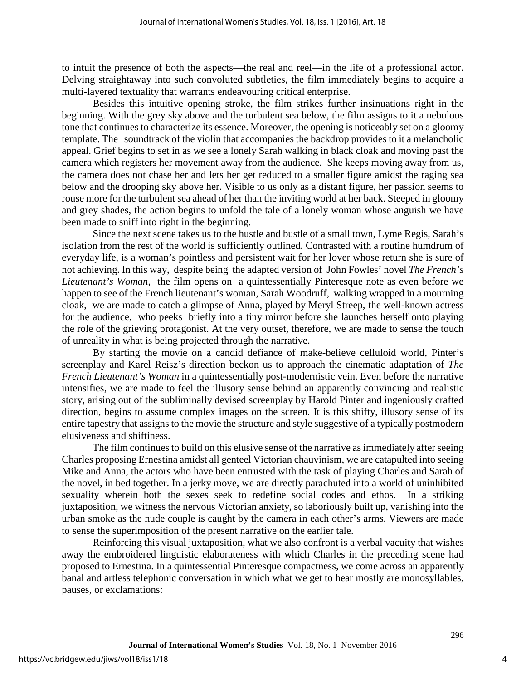to intuit the presence of both the aspects—the real and reel—in the life of a professional actor. Delving straightaway into such convoluted subtleties, the film immediately begins to acquire a multi-layered textuality that warrants endeavouring critical enterprise.

Besides this intuitive opening stroke, the film strikes further insinuations right in the beginning. With the grey sky above and the turbulent sea below, the film assigns to it a nebulous tone that continues to characterize its essence. Moreover, the opening is noticeably set on a gloomy template. The soundtrack of the violin that accompanies the backdrop provides to it a melancholic appeal. Grief begins to set in as we see a lonely Sarah walking in black cloak and moving past the camera which registers her movement away from the audience. She keeps moving away from us, the camera does not chase her and lets her get reduced to a smaller figure amidst the raging sea below and the drooping sky above her. Visible to us only as a distant figure, her passion seems to rouse more for the turbulent sea ahead of her than the inviting world at her back. Steeped in gloomy and grey shades, the action begins to unfold the tale of a lonely woman whose anguish we have been made to sniff into right in the beginning.

Since the next scene takes us to the hustle and bustle of a small town, Lyme Regis, Sarah's isolation from the rest of the world is sufficiently outlined. Contrasted with a routine humdrum of everyday life, is a woman's pointless and persistent wait for her lover whose return she is sure of not achieving. In this way, despite being the adapted version of John Fowles' novel *The French's Lieutenant's Woman*, the film opens on a quintessentially Pinteresque note as even before we happen to see of the French lieutenant's woman, Sarah Woodruff, walking wrapped in a mourning cloak, we are made to catch a glimpse of Anna, played by Meryl Streep, the well-known actress for the audience, who peeks briefly into a tiny mirror before she launches herself onto playing the role of the grieving protagonist. At the very outset, therefore, we are made to sense the touch of unreality in what is being projected through the narrative.

By starting the movie on a candid defiance of make-believe celluloid world, Pinter's screenplay and Karel Reisz's direction beckon us to approach the cinematic adaptation of *The French Lieutenant's Woman* in a quintessentially post-modernistic vein. Even before the narrative intensifies, we are made to feel the illusory sense behind an apparently convincing and realistic story, arising out of the subliminally devised screenplay by Harold Pinter and ingeniously crafted direction, begins to assume complex images on the screen. It is this shifty, illusory sense of its entire tapestry that assigns to the movie the structure and style suggestive of a typically postmodern elusiveness and shiftiness.

The film continues to build on this elusive sense of the narrative as immediately after seeing Charles proposing Ernestina amidst all genteel Victorian chauvinism, we are catapulted into seeing Mike and Anna, the actors who have been entrusted with the task of playing Charles and Sarah of the novel, in bed together. In a jerky move, we are directly parachuted into a world of uninhibited sexuality wherein both the sexes seek to redefine social codes and ethos. In a striking juxtaposition, we witness the nervous Victorian anxiety, so laboriously built up, vanishing into the urban smoke as the nude couple is caught by the camera in each other's arms. Viewers are made to sense the superimposition of the present narrative on the earlier tale.

Reinforcing this visual juxtaposition, what we also confront is a verbal vacuity that wishes away the embroidered linguistic elaborateness with which Charles in the preceding scene had proposed to Ernestina. In a quintessential Pinteresque compactness, we come across an apparently banal and artless telephonic conversation in which what we get to hear mostly are monosyllables, pauses, or exclamations: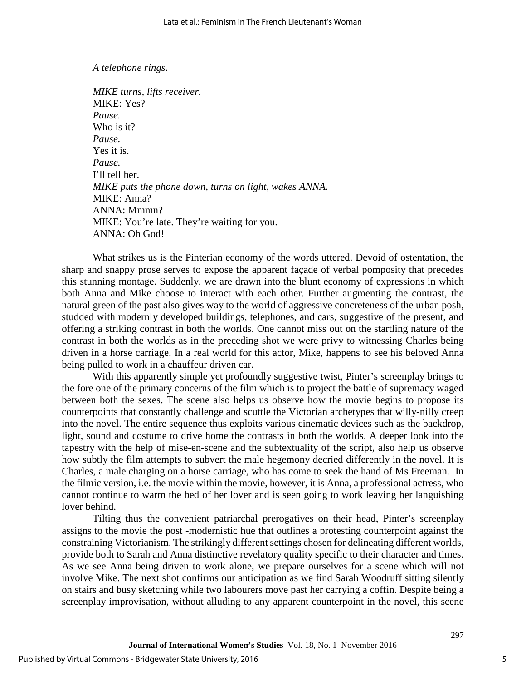#### *A telephone rings.*

*MIKE turns, lifts receiver.* MIKE: Yes? *Pause.*  Who is it? *Pause.*  Yes it is. *Pause.*  I'll tell her. *MIKE puts the phone down, turns on light, wakes ANNA.*  MIKE: Anna? ANNA: Mmmn? MIKE: You're late. They're waiting for you. ANNA: Oh God!

What strikes us is the Pinterian economy of the words uttered. Devoid of ostentation, the sharp and snappy prose serves to expose the apparent façade of verbal pomposity that precedes this stunning montage. Suddenly, we are drawn into the blunt economy of expressions in which both Anna and Mike choose to interact with each other. Further augmenting the contrast, the natural green of the past also gives way to the world of aggressive concreteness of the urban posh, studded with modernly developed buildings, telephones, and cars, suggestive of the present, and offering a striking contrast in both the worlds. One cannot miss out on the startling nature of the contrast in both the worlds as in the preceding shot we were privy to witnessing Charles being driven in a horse carriage. In a real world for this actor, Mike, happens to see his beloved Anna being pulled to work in a chauffeur driven car.

With this apparently simple yet profoundly suggestive twist, Pinter's screenplay brings to the fore one of the primary concerns of the film which is to project the battle of supremacy waged between both the sexes. The scene also helps us observe how the movie begins to propose its counterpoints that constantly challenge and scuttle the Victorian archetypes that willy-nilly creep into the novel. The entire sequence thus exploits various cinematic devices such as the backdrop, light, sound and costume to drive home the contrasts in both the worlds. A deeper look into the tapestry with the help of mise-en-scene and the subtextuality of the script, also help us observe how subtly the film attempts to subvert the male hegemony decried differently in the novel. It is Charles, a male charging on a horse carriage, who has come to seek the hand of Ms Freeman. In the filmic version, i.e. the movie within the movie, however, it is Anna, a professional actress, who cannot continue to warm the bed of her lover and is seen going to work leaving her languishing lover behind.

Tilting thus the convenient patriarchal prerogatives on their head, Pinter's screenplay assigns to the movie the post -modernistic hue that outlines a protesting counterpoint against the constraining Victorianism. The strikingly different settings chosen for delineating different worlds, provide both to Sarah and Anna distinctive revelatory quality specific to their character and times. As we see Anna being driven to work alone, we prepare ourselves for a scene which will not involve Mike. The next shot confirms our anticipation as we find Sarah Woodruff sitting silently on stairs and busy sketching while two labourers move past her carrying a coffin. Despite being a screenplay improvisation, without alluding to any apparent counterpoint in the novel, this scene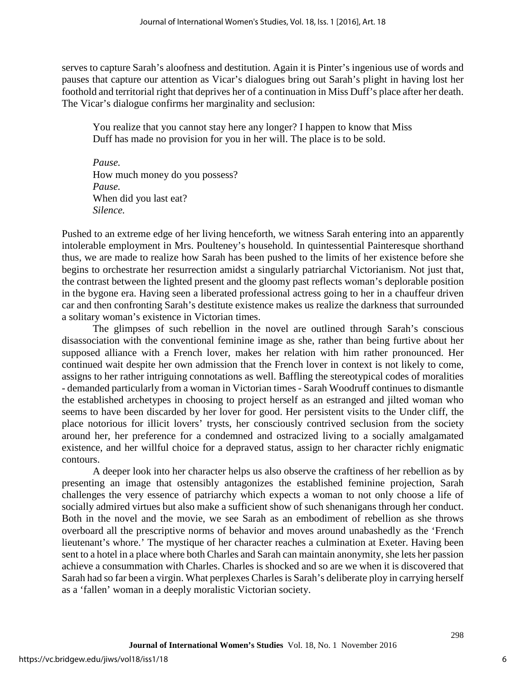serves to capture Sarah's aloofness and destitution. Again it is Pinter's ingenious use of words and pauses that capture our attention as Vicar's dialogues bring out Sarah's plight in having lost her foothold and territorial right that deprives her of a continuation in Miss Duff's place after her death. The Vicar's dialogue confirms her marginality and seclusion:

You realize that you cannot stay here any longer? I happen to know that Miss Duff has made no provision for you in her will. The place is to be sold.

*Pause.*  How much money do you possess? *Pause.*  When did you last eat? *Silence.*

Pushed to an extreme edge of her living henceforth, we witness Sarah entering into an apparently intolerable employment in Mrs. Poulteney's household. In quintessential Painteresque shorthand thus, we are made to realize how Sarah has been pushed to the limits of her existence before she begins to orchestrate her resurrection amidst a singularly patriarchal Victorianism. Not just that, the contrast between the lighted present and the gloomy past reflects woman's deplorable position in the bygone era. Having seen a liberated professional actress going to her in a chauffeur driven car and then confronting Sarah's destitute existence makes us realize the darkness that surrounded a solitary woman's existence in Victorian times.

The glimpses of such rebellion in the novel are outlined through Sarah's conscious disassociation with the conventional feminine image as she, rather than being furtive about her supposed alliance with a French lover, makes her relation with him rather pronounced. Her continued wait despite her own admission that the French lover in context is not likely to come, assigns to her rather intriguing connotations as well. Baffling the stereotypical codes of moralities - demanded particularly from a woman in Victorian times - Sarah Woodruff continues to dismantle the established archetypes in choosing to project herself as an estranged and jilted woman who seems to have been discarded by her lover for good. Her persistent visits to the Under cliff, the place notorious for illicit lovers' trysts, her consciously contrived seclusion from the society around her, her preference for a condemned and ostracized living to a socially amalgamated existence, and her willful choice for a depraved status, assign to her character richly enigmatic contours.

A deeper look into her character helps us also observe the craftiness of her rebellion as by presenting an image that ostensibly antagonizes the established feminine projection, Sarah challenges the very essence of patriarchy which expects a woman to not only choose a life of socially admired virtues but also make a sufficient show of such shenanigans through her conduct. Both in the novel and the movie, we see Sarah as an embodiment of rebellion as she throws overboard all the prescriptive norms of behavior and moves around unabashedly as the 'French lieutenant's whore.' The mystique of her character reaches a culmination at Exeter. Having been sent to a hotel in a place where both Charles and Sarah can maintain anonymity, she lets her passion achieve a consummation with Charles. Charles is shocked and so are we when it is discovered that Sarah had so far been a virgin. What perplexes Charles is Sarah's deliberate ploy in carrying herself as a 'fallen' woman in a deeply moralistic Victorian society.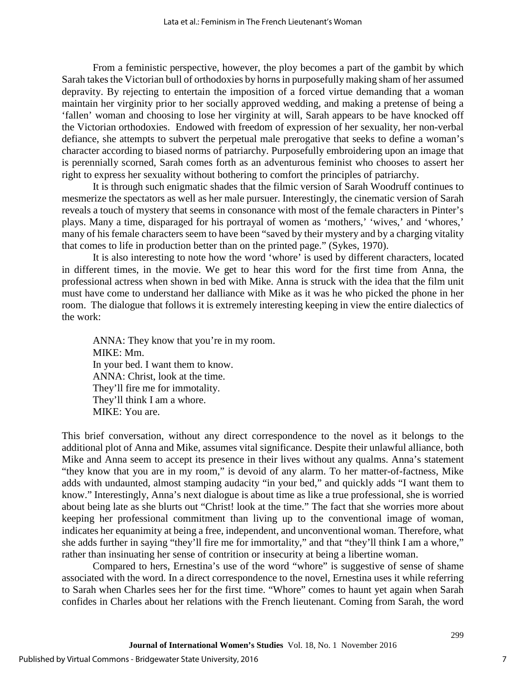From a feministic perspective, however, the ploy becomes a part of the gambit by which Sarah takes the Victorian bull of orthodoxies by horns in purposefully making sham of her assumed depravity. By rejecting to entertain the imposition of a forced virtue demanding that a woman maintain her virginity prior to her socially approved wedding, and making a pretense of being a 'fallen' woman and choosing to lose her virginity at will, Sarah appears to be have knocked off the Victorian orthodoxies. Endowed with freedom of expression of her sexuality, her non-verbal defiance, she attempts to subvert the perpetual male prerogative that seeks to define a woman's character according to biased norms of patriarchy. Purposefully embroidering upon an image that is perennially scorned, Sarah comes forth as an adventurous feminist who chooses to assert her right to express her sexuality without bothering to comfort the principles of patriarchy.

It is through such enigmatic shades that the filmic version of Sarah Woodruff continues to mesmerize the spectators as well as her male pursuer. Interestingly, the cinematic version of Sarah reveals a touch of mystery that seems in consonance with most of the female characters in Pinter's plays. Many a time, disparaged for his portrayal of women as 'mothers,' 'wives,' and 'whores,' many of his female characters seem to have been "saved by their mystery and by a charging vitality that comes to life in production better than on the printed page." (Sykes, 1970).

It is also interesting to note how the word 'whore' is used by different characters, located in different times, in the movie. We get to hear this word for the first time from Anna, the professional actress when shown in bed with Mike. Anna is struck with the idea that the film unit must have come to understand her dalliance with Mike as it was he who picked the phone in her room. The dialogue that follows it is extremely interesting keeping in view the entire dialectics of the work:

ANNA: They know that you're in my room. MIKE: Mm. In your bed. I want them to know. ANNA: Christ, look at the time. They'll fire me for immotality. They'll think I am a whore. MIKE: You are.

This brief conversation, without any direct correspondence to the novel as it belongs to the additional plot of Anna and Mike, assumes vital significance. Despite their unlawful alliance, both Mike and Anna seem to accept its presence in their lives without any qualms. Anna's statement "they know that you are in my room," is devoid of any alarm. To her matter-of-factness, Mike adds with undaunted, almost stamping audacity "in your bed," and quickly adds "I want them to know." Interestingly, Anna's next dialogue is about time as like a true professional, she is worried about being late as she blurts out "Christ! look at the time." The fact that she worries more about keeping her professional commitment than living up to the conventional image of woman, indicates her equanimity at being a free, independent, and unconventional woman. Therefore, what she adds further in saying "they'll fire me for immortality," and that "they'll think I am a whore," rather than insinuating her sense of contrition or insecurity at being a libertine woman.

Compared to hers, Ernestina's use of the word "whore" is suggestive of sense of shame associated with the word. In a direct correspondence to the novel, Ernestina uses it while referring to Sarah when Charles sees her for the first time. "Whore" comes to haunt yet again when Sarah confides in Charles about her relations with the French lieutenant. Coming from Sarah, the word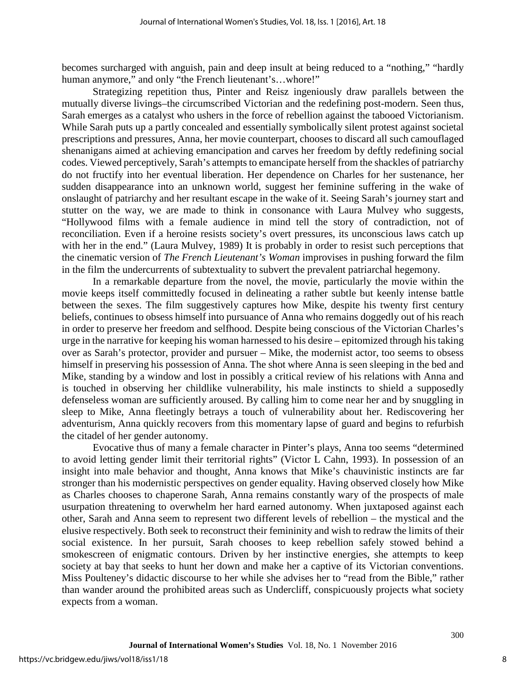becomes surcharged with anguish, pain and deep insult at being reduced to a "nothing," "hardly human anymore," and only "the French lieutenant's...whore!"

Strategizing repetition thus, Pinter and Reisz ingeniously draw parallels between the mutually diverse livings–the circumscribed Victorian and the redefining post-modern. Seen thus, Sarah emerges as a catalyst who ushers in the force of rebellion against the tabooed Victorianism. While Sarah puts up a partly concealed and essentially symbolically silent protest against societal prescriptions and pressures, Anna, her movie counterpart, chooses to discard all such camouflaged shenanigans aimed at achieving emancipation and carves her freedom by deftly redefining social codes. Viewed perceptively, Sarah's attempts to emancipate herself from the shackles of patriarchy do not fructify into her eventual liberation. Her dependence on Charles for her sustenance, her sudden disappearance into an unknown world, suggest her feminine suffering in the wake of onslaught of patriarchy and her resultant escape in the wake of it. Seeing Sarah's journey start and stutter on the way, we are made to think in consonance with Laura Mulvey who suggests, "Hollywood films with a female audience in mind tell the story of contradiction, not of reconciliation. Even if a heroine resists society's overt pressures, its unconscious laws catch up with her in the end." (Laura Mulvey, 1989) It is probably in order to resist such perceptions that the cinematic version of *The French Lieutenant's Woman* improvises in pushing forward the film in the film the undercurrents of subtextuality to subvert the prevalent patriarchal hegemony.

In a remarkable departure from the novel, the movie, particularly the movie within the movie keeps itself committedly focused in delineating a rather subtle but keenly intense battle between the sexes. The film suggestively captures how Mike, despite his twenty first century beliefs, continues to obsess himself into pursuance of Anna who remains doggedly out of his reach in order to preserve her freedom and selfhood. Despite being conscious of the Victorian Charles's urge in the narrative for keeping his woman harnessed to his desire – epitomized through his taking over as Sarah's protector, provider and pursuer – Mike, the modernist actor, too seems to obsess himself in preserving his possession of Anna. The shot where Anna is seen sleeping in the bed and Mike, standing by a window and lost in possibly a critical review of his relations with Anna and is touched in observing her childlike vulnerability, his male instincts to shield a supposedly defenseless woman are sufficiently aroused. By calling him to come near her and by snuggling in sleep to Mike, Anna fleetingly betrays a touch of vulnerability about her. Rediscovering her adventurism, Anna quickly recovers from this momentary lapse of guard and begins to refurbish the citadel of her gender autonomy.

Evocative thus of many a female character in Pinter's plays, Anna too seems "determined to avoid letting gender limit their territorial rights" (Victor L Cahn, 1993). In possession of an insight into male behavior and thought, Anna knows that Mike's chauvinistic instincts are far stronger than his modernistic perspectives on gender equality. Having observed closely how Mike as Charles chooses to chaperone Sarah, Anna remains constantly wary of the prospects of male usurpation threatening to overwhelm her hard earned autonomy. When juxtaposed against each other, Sarah and Anna seem to represent two different levels of rebellion – the mystical and the elusive respectively. Both seek to reconstruct their femininity and wish to redraw the limits of their social existence. In her pursuit, Sarah chooses to keep rebellion safely stowed behind a smokescreen of enigmatic contours. Driven by her instinctive energies, she attempts to keep society at bay that seeks to hunt her down and make her a captive of its Victorian conventions. Miss Poulteney's didactic discourse to her while she advises her to "read from the Bible," rather than wander around the prohibited areas such as Undercliff, conspicuously projects what society expects from a woman.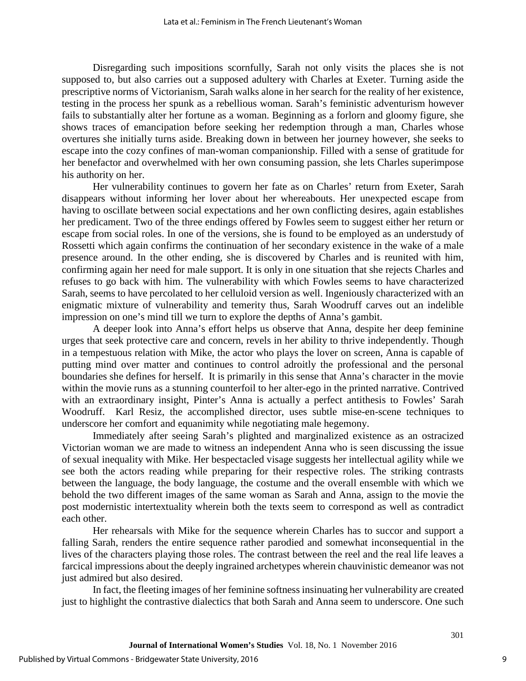Disregarding such impositions scornfully, Sarah not only visits the places she is not supposed to, but also carries out a supposed adultery with Charles at Exeter. Turning aside the prescriptive norms of Victorianism, Sarah walks alone in her search for the reality of her existence, testing in the process her spunk as a rebellious woman. Sarah's feministic adventurism however fails to substantially alter her fortune as a woman. Beginning as a forlorn and gloomy figure, she shows traces of emancipation before seeking her redemption through a man, Charles whose overtures she initially turns aside. Breaking down in between her journey however, she seeks to escape into the cozy confines of man-woman companionship. Filled with a sense of gratitude for her benefactor and overwhelmed with her own consuming passion, she lets Charles superimpose his authority on her.

Her vulnerability continues to govern her fate as on Charles' return from Exeter, Sarah disappears without informing her lover about her whereabouts. Her unexpected escape from having to oscillate between social expectations and her own conflicting desires, again establishes her predicament. Two of the three endings offered by Fowles seem to suggest either her return or escape from social roles. In one of the versions, she is found to be employed as an understudy of Rossetti which again confirms the continuation of her secondary existence in the wake of a male presence around. In the other ending, she is discovered by Charles and is reunited with him, confirming again her need for male support. It is only in one situation that she rejects Charles and refuses to go back with him. The vulnerability with which Fowles seems to have characterized Sarah, seems to have percolated to her celluloid version as well. Ingeniously characterized with an enigmatic mixture of vulnerability and temerity thus, Sarah Woodruff carves out an indelible impression on one's mind till we turn to explore the depths of Anna's gambit.

A deeper look into Anna's effort helps us observe that Anna, despite her deep feminine urges that seek protective care and concern, revels in her ability to thrive independently. Though in a tempestuous relation with Mike, the actor who plays the lover on screen, Anna is capable of putting mind over matter and continues to control adroitly the professional and the personal boundaries she defines for herself. It is primarily in this sense that Anna's character in the movie within the movie runs as a stunning counterfoil to her alter-ego in the printed narrative. Contrived with an extraordinary insight, Pinter's Anna is actually a perfect antithesis to Fowles' Sarah Woodruff. Karl Resiz, the accomplished director, uses subtle mise-en-scene techniques to underscore her comfort and equanimity while negotiating male hegemony.

Immediately after seeing Sarah's plighted and marginalized existence as an ostracized Victorian woman we are made to witness an independent Anna who is seen discussing the issue of sexual inequality with Mike. Her bespectacled visage suggests her intellectual agility while we see both the actors reading while preparing for their respective roles. The striking contrasts between the language, the body language, the costume and the overall ensemble with which we behold the two different images of the same woman as Sarah and Anna, assign to the movie the post modernistic intertextuality wherein both the texts seem to correspond as well as contradict each other.

Her rehearsals with Mike for the sequence wherein Charles has to succor and support a falling Sarah, renders the entire sequence rather parodied and somewhat inconsequential in the lives of the characters playing those roles. The contrast between the reel and the real life leaves a farcical impressions about the deeply ingrained archetypes wherein chauvinistic demeanor was not just admired but also desired.

In fact, the fleeting images of her feminine softness insinuating her vulnerability are created just to highlight the contrastive dialectics that both Sarah and Anna seem to underscore. One such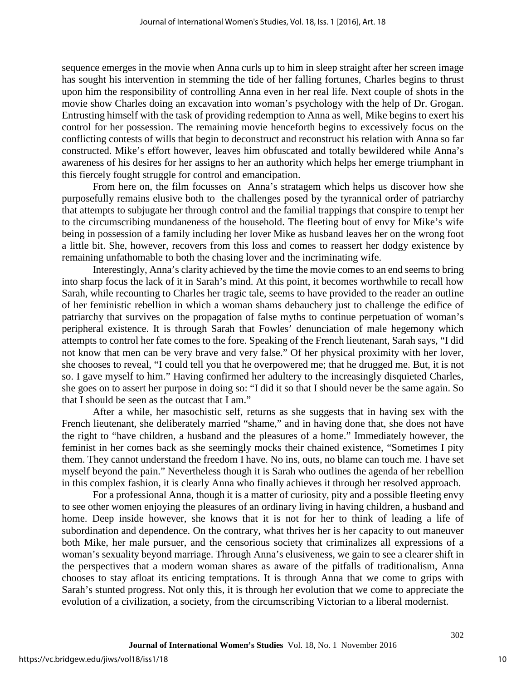sequence emerges in the movie when Anna curls up to him in sleep straight after her screen image has sought his intervention in stemming the tide of her falling fortunes, Charles begins to thrust upon him the responsibility of controlling Anna even in her real life. Next couple of shots in the movie show Charles doing an excavation into woman's psychology with the help of Dr. Grogan. Entrusting himself with the task of providing redemption to Anna as well, Mike begins to exert his control for her possession. The remaining movie henceforth begins to excessively focus on the conflicting contests of wills that begin to deconstruct and reconstruct his relation with Anna so far constructed. Mike's effort however, leaves him obfuscated and totally bewildered while Anna's awareness of his desires for her assigns to her an authority which helps her emerge triumphant in this fiercely fought struggle for control and emancipation.

From here on, the film focusses on Anna's stratagem which helps us discover how she purposefully remains elusive both to the challenges posed by the tyrannical order of patriarchy that attempts to subjugate her through control and the familial trappings that conspire to tempt her to the circumscribing mundaneness of the household. The fleeting bout of envy for Mike's wife being in possession of a family including her lover Mike as husband leaves her on the wrong foot a little bit. She, however, recovers from this loss and comes to reassert her dodgy existence by remaining unfathomable to both the chasing lover and the incriminating wife.

Interestingly, Anna's clarity achieved by the time the movie comes to an end seems to bring into sharp focus the lack of it in Sarah's mind. At this point, it becomes worthwhile to recall how Sarah, while recounting to Charles her tragic tale, seems to have provided to the reader an outline of her feministic rebellion in which a woman shams debauchery just to challenge the edifice of patriarchy that survives on the propagation of false myths to continue perpetuation of woman's peripheral existence. It is through Sarah that Fowles' denunciation of male hegemony which attempts to control her fate comes to the fore. Speaking of the French lieutenant, Sarah says, "I did not know that men can be very brave and very false." Of her physical proximity with her lover, she chooses to reveal, "I could tell you that he overpowered me; that he drugged me. But, it is not so. I gave myself to him." Having confirmed her adultery to the increasingly disquieted Charles, she goes on to assert her purpose in doing so: "I did it so that I should never be the same again. So that I should be seen as the outcast that I am."

After a while, her masochistic self, returns as she suggests that in having sex with the French lieutenant, she deliberately married "shame," and in having done that, she does not have the right to "have children, a husband and the pleasures of a home." Immediately however, the feminist in her comes back as she seemingly mocks their chained existence, "Sometimes I pity them. They cannot understand the freedom I have. No ins, outs, no blame can touch me. I have set myself beyond the pain." Nevertheless though it is Sarah who outlines the agenda of her rebellion in this complex fashion, it is clearly Anna who finally achieves it through her resolved approach.

For a professional Anna, though it is a matter of curiosity, pity and a possible fleeting envy to see other women enjoying the pleasures of an ordinary living in having children, a husband and home. Deep inside however, she knows that it is not for her to think of leading a life of subordination and dependence. On the contrary, what thrives her is her capacity to out maneuver both Mike, her male pursuer, and the censorious society that criminalizes all expressions of a woman's sexuality beyond marriage. Through Anna's elusiveness, we gain to see a clearer shift in the perspectives that a modern woman shares as aware of the pitfalls of traditionalism, Anna chooses to stay afloat its enticing temptations. It is through Anna that we come to grips with Sarah's stunted progress. Not only this, it is through her evolution that we come to appreciate the evolution of a civilization, a society, from the circumscribing Victorian to a liberal modernist.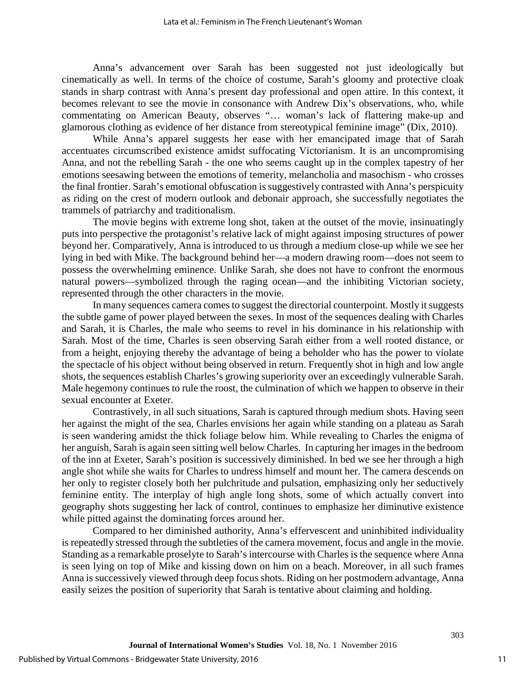Anna's advancement over Sarah has been suggested not just ideologically but cinematically as well. In terms of the choice of costume, Sarah's gloomy and protective cloak stands in sharp contrast with Anna's present day professional and open attire. In this context, it becomes relevant to see the movie in consonance with Andrew Dix's observations, who, while commentating on American Beauty, observes "… woman's lack of flattering make-up and glamorous clothing as evidence of her distance from stereotypical feminine image" (Dix, 2010).

While Anna's apparel suggests her ease with her emancipated image that of Sarah accentuates circumscribed existence amidst suffocating Victorianism. It is an uncompromising Anna, and not the rebelling Sarah - the one who seems caught up in the complex tapestry of her emotions seesawing between the emotions of temerity, melancholia and masochism - who crosses the final frontier. Sarah's emotional obfuscation is suggestively contrasted with Anna's perspicuity as riding on the crest of modern outlook and debonair approach, she successfully negotiates the trammels of patriarchy and traditionalism.

The movie begins with extreme long shot, taken at the outset of the movie, insinuatingly puts into perspective the protagonist's relative lack of might against imposing structures of power beyond her. Comparatively, Anna is introduced to us through a medium close-up while we see her lying in bed with Mike. The background behind her—a modern drawing room—does not seem to possess the overwhelming eminence. Unlike Sarah, she does not have to confront the enormous natural powers—symbolized through the raging ocean—and the inhibiting Victorian society, represented through the other characters in the movie.

In many sequences camera comes to suggest the directorial counterpoint. Mostly it suggests the subtle game of power played between the sexes. In most of the sequences dealing with Charles and Sarah, it is Charles, the male who seems to revel in his dominance in his relationship with Sarah. Most of the time, Charles is seen observing Sarah either from a well rooted distance, or from a height, enjoying thereby the advantage of being a beholder who has the power to violate the spectacle of his object without being observed in return. Frequently shot in high and low angle shots, the sequences establish Charles's growing superiority over an exceedingly vulnerable Sarah. Male hegemony continues to rule the roost, the culmination of which we happen to observe in their sexual encounter at Exeter.

Contrastively, in all such situations, Sarah is captured through medium shots. Having seen her against the might of the sea, Charles envisions her again while standing on a plateau as Sarah is seen wandering amidst the thick foliage below him. While revealing to Charles the enigma of her anguish, Sarah is again seen sitting well below Charles. In capturing her images in the bedroom of the inn at Exeter, Sarah's position is successively diminished. In bed we see her through a high angle shot while she waits for Charles to undress himself and mount her. The camera descends on her only to register closely both her pulchritude and pulsation, emphasizing only her seductively feminine entity. The interplay of high angle long shots, some of which actually convert into geography shots suggesting her lack of control, continues to emphasize her diminutive existence while pitted against the dominating forces around her.

Compared to her diminished authority, Anna's effervescent and uninhibited individuality is repeatedly stressed through the subtleties of the camera movement, focus and angle in the movie. Standing as a remarkable proselyte to Sarah's intercourse with Charles is the sequence where Anna is seen lying on top of Mike and kissing down on him on a beach. Moreover, in all such frames Anna is successively viewed through deep focus shots. Riding on her postmodern advantage, Anna easily seizes the position of superiority that Sarah is tentative about claiming and holding.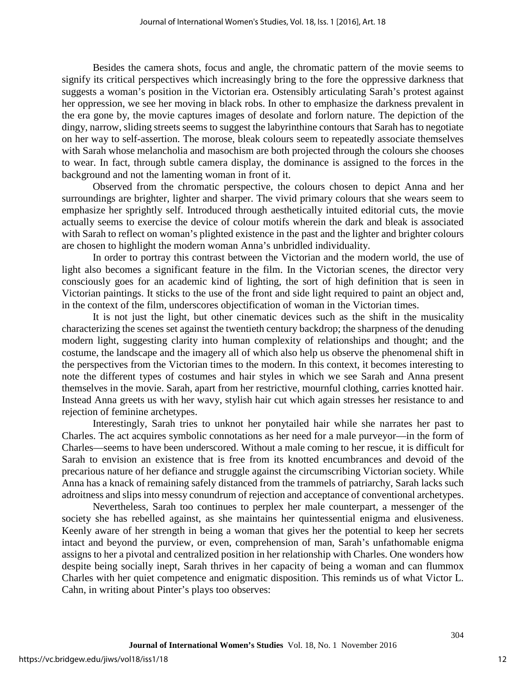Besides the camera shots, focus and angle, the chromatic pattern of the movie seems to signify its critical perspectives which increasingly bring to the fore the oppressive darkness that suggests a woman's position in the Victorian era. Ostensibly articulating Sarah's protest against her oppression, we see her moving in black robs. In other to emphasize the darkness prevalent in the era gone by, the movie captures images of desolate and forlorn nature. The depiction of the dingy, narrow, sliding streets seems to suggest the labyrinthine contours that Sarah has to negotiate on her way to self-assertion. The morose, bleak colours seem to repeatedly associate themselves with Sarah whose melancholia and masochism are both projected through the colours she chooses to wear. In fact, through subtle camera display, the dominance is assigned to the forces in the background and not the lamenting woman in front of it.

Observed from the chromatic perspective, the colours chosen to depict Anna and her surroundings are brighter, lighter and sharper. The vivid primary colours that she wears seem to emphasize her sprightly self. Introduced through aesthetically intuited editorial cuts, the movie actually seems to exercise the device of colour motifs wherein the dark and bleak is associated with Sarah to reflect on woman's plighted existence in the past and the lighter and brighter colours are chosen to highlight the modern woman Anna's unbridled individuality.

In order to portray this contrast between the Victorian and the modern world, the use of light also becomes a significant feature in the film. In the Victorian scenes, the director very consciously goes for an academic kind of lighting, the sort of high definition that is seen in Victorian paintings. It sticks to the use of the front and side light required to paint an object and, in the context of the film, underscores objectification of woman in the Victorian times.

It is not just the light, but other cinematic devices such as the shift in the musicality characterizing the scenes set against the twentieth century backdrop; the sharpness of the denuding modern light, suggesting clarity into human complexity of relationships and thought; and the costume, the landscape and the imagery all of which also help us observe the phenomenal shift in the perspectives from the Victorian times to the modern. In this context, it becomes interesting to note the different types of costumes and hair styles in which we see Sarah and Anna present themselves in the movie. Sarah, apart from her restrictive, mournful clothing, carries knotted hair. Instead Anna greets us with her wavy, stylish hair cut which again stresses her resistance to and rejection of feminine archetypes.

Interestingly, Sarah tries to unknot her ponytailed hair while she narrates her past to Charles. The act acquires symbolic connotations as her need for a male purveyor—in the form of Charles—seems to have been underscored. Without a male coming to her rescue, it is difficult for Sarah to envision an existence that is free from its knotted encumbrances and devoid of the precarious nature of her defiance and struggle against the circumscribing Victorian society. While Anna has a knack of remaining safely distanced from the trammels of patriarchy, Sarah lacks such adroitness and slips into messy conundrum of rejection and acceptance of conventional archetypes.

Nevertheless, Sarah too continues to perplex her male counterpart, a messenger of the society she has rebelled against, as she maintains her quintessential enigma and elusiveness. Keenly aware of her strength in being a woman that gives her the potential to keep her secrets intact and beyond the purview, or even, comprehension of man, Sarah's unfathomable enigma assigns to her a pivotal and centralized position in her relationship with Charles. One wonders how despite being socially inept, Sarah thrives in her capacity of being a woman and can flummox Charles with her quiet competence and enigmatic disposition. This reminds us of what Victor L. Cahn, in writing about Pinter's plays too observes: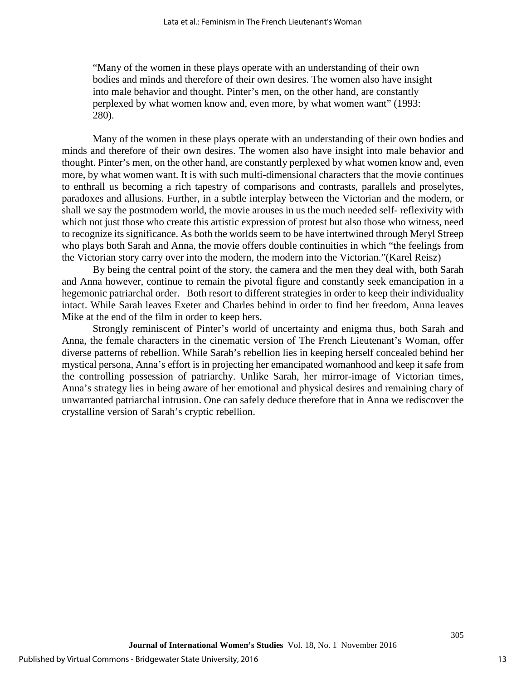"Many of the women in these plays operate with an understanding of their own bodies and minds and therefore of their own desires. The women also have insight into male behavior and thought. Pinter's men, on the other hand, are constantly perplexed by what women know and, even more, by what women want" (1993: 280).

Many of the women in these plays operate with an understanding of their own bodies and minds and therefore of their own desires. The women also have insight into male behavior and thought. Pinter's men, on the other hand, are constantly perplexed by what women know and, even more, by what women want. It is with such multi-dimensional characters that the movie continues to enthrall us becoming a rich tapestry of comparisons and contrasts, parallels and proselytes, paradoxes and allusions. Further, in a subtle interplay between the Victorian and the modern, or shall we say the postmodern world, the movie arouses in us the much needed self- reflexivity with which not just those who create this artistic expression of protest but also those who witness, need to recognize its significance. As both the worlds seem to be have intertwined through Meryl Streep who plays both Sarah and Anna, the movie offers double continuities in which "the feelings from the Victorian story carry over into the modern, the modern into the Victorian."(Karel Reisz)

By being the central point of the story, the camera and the men they deal with, both Sarah and Anna however, continue to remain the pivotal figure and constantly seek emancipation in a hegemonic patriarchal order. Both resort to different strategies in order to keep their individuality intact. While Sarah leaves Exeter and Charles behind in order to find her freedom, Anna leaves Mike at the end of the film in order to keep hers.

Strongly reminiscent of Pinter's world of uncertainty and enigma thus, both Sarah and Anna, the female characters in the cinematic version of The French Lieutenant's Woman, offer diverse patterns of rebellion. While Sarah's rebellion lies in keeping herself concealed behind her mystical persona, Anna's effort is in projecting her emancipated womanhood and keep it safe from the controlling possession of patriarchy. Unlike Sarah, her mirror-image of Victorian times, Anna's strategy lies in being aware of her emotional and physical desires and remaining chary of unwarranted patriarchal intrusion. One can safely deduce therefore that in Anna we rediscover the crystalline version of Sarah's cryptic rebellion.